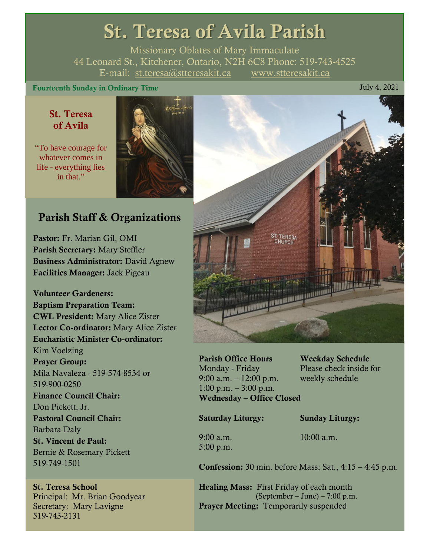# St. Teresa of Avila Parish

Missionary Oblates of Mary Immaculate 44 Leonard St., Kitchener, Ontario, N2H 6C8 Phone: 519-743-4525 E-mail: [st.teresa@stteresakit.ca](mailto:st.teresa@stteresakit.ca) [www.stteresakit.ca](http://www.stteresakit.ca/)

# Fourteenth Sunday in Ordinary Time July 4, 2021

# St. Teresa of Avila

"To have courage for whatever comes in life - everything lies in that"



# Parish Staff & Organizations

Pastor: Fr. Marian Gil, OMI Parish Secretary: Mary Steffler Business Administrator: David Agnew Facilities Manager: Jack Pigeau

Volunteer Gardeners: Baptism Preparation Team: CWL President: Mary Alice Zister Lector Co-ordinator: Mary Alice Zister Eucharistic Minister Co-ordinator: Kim Voelzing Prayer Group: Mila Navaleza - 519-574-8534 or 519-900-0250 Finance Council Chair: Don Pickett, Jr. Pastoral Council Chair: Barbara Daly St. Vincent de Paul: Bernie & Rosemary Pickett 519-749-1501

St. Teresa School Principal: Mr. Brian Goodyear Secretary: Mary Lavigne 519-743-2131



Parish Office Hours Weekday Schedule Monday - Friday Please check inside for 9:00 a.m. – 12:00 p.m. weekly schedule  $1:00 \text{ p.m.} - 3:00 \text{ p.m.}$ Wednesday – Office Closed

Saturday Liturgy: Sunday Liturgy:

5:00 p.m.

9:00 a.m. 10:00 a.m.

Confession: 30 min. before Mass; Sat., 4:15 – 4:45 p.m.

Healing Mass: First Friday of each month (September – June) – 7:00 p.m. Prayer Meeting: Temporarily suspended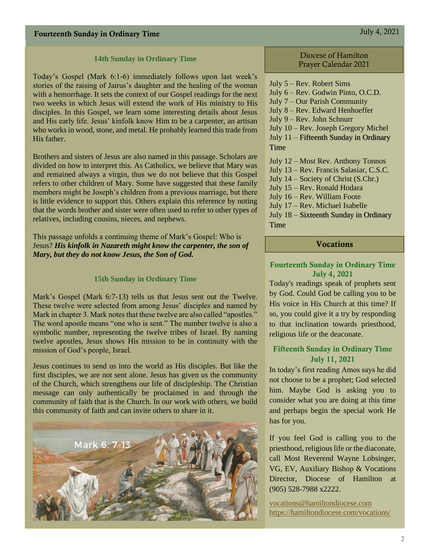#### **14th Sunday in Ordinary Time**

Today's Gospel (Mark 6:1-6) immediately follows upon last week's stories of the raising of Jairus's daughter and the healing of the woman with a hemorrhage. It sets the context of our Gospel readings for the next two weeks in which Jesus will extend the work of His ministry to His disciples. In this Gospel, we learn some interesting details about Jesus and His early life. Jesus' kinfolk know Him to be a carpenter, an artisan who works in wood, stone, and metal. He probably learned this trade from His father.

Brothers and sisters of Jesus are also named in this passage. Scholars are divided on how to interpret this. As Catholics, we believe that Mary was and remained always a virgin, thus we do not believe that this Gospel refers to other children of Mary. Some have suggested that these family members might be Joseph's children from a previous marriage, but there is little evidence to support this. Others explain this reference by noting that the words brother and sister were often used to refer to other types of relatives, including cousins, nieces, and nephews.

This passage unfolds a continuing theme of Mark's Gospel: Who is Jesus? *His kinfolk in Nazareth might know the carpenter, the son of Mary, but they do not know Jesus, the Son of God.*

#### **15th Sunday in Ordinary Time**

Mark's Gospel (Mark 6:7-13) tells us that Jesus sent out the Twelve. These twelve were selected from among Jesus' disciples and named by Mark in chapter 3. Mark notes that these twelve are also called "apostles." The word apostle means "one who is sent." The number twelve is also a symbolic number, representing the twelve tribes of Israel. By naming twelve apostles, Jesus shows His mission to be in continuity with the mission of God's people, Israel.

Jesus continues to send us into the world as His disciples. But like the first disciples, we are not sent alone. Jesus has given us the community of the Church, which strengthens our life of discipleship. The Christian message can only authentically be proclaimed in and through the community of faith that is the Church. In our work with others, we build this community of faith and can invite others to share in it.



#### Diocese of Hamilton Prayer Calendar 2021

July 5 – Rev. Robert Sims July 6 – Rev. Godwin Pinto, O.C.D. July 7 – Our Parish Community July 8 – Rev. Edward Henhoeffer July 9 – Rev. John Schnurr July 10 – Rev. Joseph Gregory Michel July 11 – Fifteenth Sunday in Ordinary Time July 12 – Most Rev. Anthony Tonnos July 13 – Rev. Francis Salasiar, C.S.C. July 14 – Society of Christ (S.Chr.) July 15 – Rev. Ronald Hodara July 16 – Rev. William Foote July 17 – Rev. Michael Isabelle July 18 – Sixteenth Sunday in Ordinary Time

## Vocations

### Fourteenth Sunday in Ordinary Time July 4, 2021

Today's readings speak of prophets sent by God. Could God be calling you to be His voice in His Church at this time? If so, you could give it a try by responding to that inclination towards priesthood, religious life or the deaconate.

## Fifteenth Sunday in Ordinary Time July 11, 2021

In today's first reading Amos says he did not choose to be a prophet; God selected him. Maybe God is asking you to consider what you are doing at this time and perhaps begin the special work He has for you.

If you feel God is calling you to the priesthood, religious life or the diaconate, call Most Reverend Wayne Lobsinger, VG, EV, Auxiliary Bishop & Vocations Director, Diocese of Hamilton at (905) 528-7988 x2222.

[vocations@hamiltondiocese.com](mailto:vocations@hamiltondiocese.com)  <https://hamiltondiocese.com/vocations/>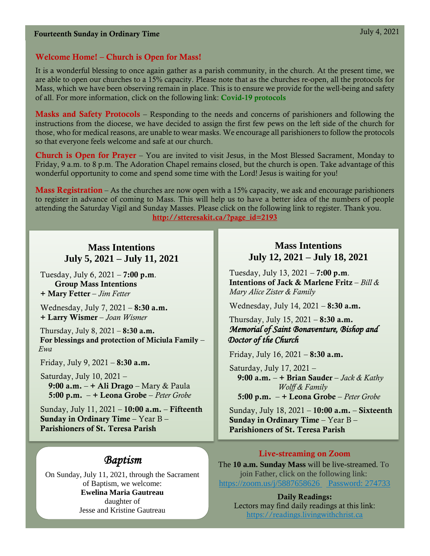## Welcome Home! – Church is Open for Mass!

It is a wonderful blessing to once again gather as a parish community, in the church. At the present time, we are able to open our churches to a 15% capacity. Please note that as the churches re-open, all the protocols for Mass, which we have been observing remain in place. This is to ensure we provide for the well-being and safety of all. For more information, click on the following link: [Covid-19 protocols](http://stteresakit.ca/?page_id=2149)

Masks and Safety Protocols – Responding to the needs and concerns of parishioners and following the instructions from the diocese, we have decided to assign the first few pews on the left side of the church for those, who for medical reasons, are unable to wear masks. We encourage all parishioners to follow the protocols so that everyone feels welcome and safe at our church.

Church is Open for Prayer - You are invited to visit Jesus, in the Most Blessed Sacrament, Monday to Friday, 9 a.m. to 8 p.m. The Adoration Chapel remains closed, but the church is open. Take advantage of this wonderful opportunity to come and spend some time with the Lord! Jesus is waiting for you!

**Mass Registration** – As the churches are now open with a 15% capacity, we ask and encourage parishioners to register in advance of coming to Mass. This will help us to have a better idea of the numbers of people attending the Saturday Vigil and Sunday Masses. Please click on the following link to register. Thank you. [http://stteresakit.ca/?page\\_id=2193](http://stteresakit.ca/?page_id=2193)

# **Mass Intentions July 5, 2021 – July 11, 2021**

Tuesday, July 6,  $2021 - 7:00$  p.m. Group Mass Intentions + Mary Fetter – *Jim Fetter*

Wednesday, July 7, 2021 – 8:30 a.m. + Larry Wismer – *Joan Wismer*

Thursday, July 8,  $2021 - 8:30$  a.m. For blessings and protection of Miciula Family – *Ewa*

Friday, July 9,  $2021 - 8:30$  a.m.

 Saturday, July 10, 2021 – 9:00 a.m.  $-+$  Ali Drago – Mary & Paula 5:00 p.m. – + Leona Grobe – *Peter Grobe*

Sunday, July 11, 2021 – 10:00 a.m. – Fifteenth Sunday in Ordinary Time – Year B – Parishioners of St. Teresa Parish

# *Baptism*

On Sunday, July 11, 2021, through the Sacrament of Baptism, we welcome: **Ewelina Maria Gautreau** daughter of Jesse and Kristine Gautreau

# **Mass Intentions July 12, 2021 – July 18, 2021**

Tuesday, July 13,  $2021 - 7:00$  p.m. Intentions of Jack & Marlene Fritz – *Bill & Mary Alice Zister & Family*

Wednesday, July 14, 2021 – 8:30 a.m.

# Thursday, July 15,  $2021 - 8:30$  a.m. *Memorial of Saint Bonaventure, Bishop and Doctor of the Church*

Friday, July 16,  $2021 - 8:30$  a.m.

 Saturday, July 17, 2021 – 9:00 a.m. – + Brian Sauder – *Jack & Kathy Wolff & Family* 5:00 p.m. – + Leona Grobe – *Peter Grobe*

Sunday, July 18, 2021 – 10:00 a.m. – Sixteenth Sunday in Ordinary Time – Year B – Parishioners of St. Teresa Parish

# Live-streaming on Zoom

The **10 a.m. Sunday Mass** will be live-streamed. To join Father, click on the following link: <https://zoom.us/j/5887658626> Password: 274733

Daily Readings: Lectors may find daily readings at this link: [https://readings.livingwithchrist.ca](https://readings.livingwithchrist.ca/)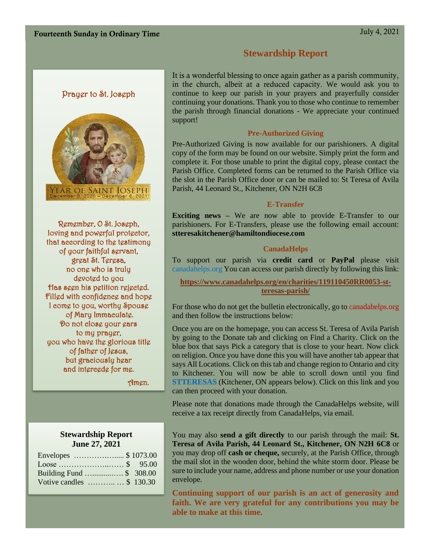# **Stewardship Report**

# Prayer to St. Joseph



Remember, O St. Joseph, loving and powerful protector, that according to the testimony of your faithful servant, great St. Teresa, no one who is truly devoted to you Has seen his petition rejected. Filled with confidence and hope I come to you, worthy Spouse of Mary Immaculate. Do not close your ears to my prayer, you who have the glorious title of father of Jesus, but graciously hear and intercede for me.

Amen.

# **Stewardship Report June 27, 2021**

| Envelopes  \$1073.00      |  |
|---------------------------|--|
|                           |  |
| Building Fund \$ 308.00   |  |
| Votive candles  \$ 130.30 |  |

It is a wonderful blessing to once again gather as a parish community, in the church, albeit at a reduced capacity. We would ask you to continue to keep our parish in your prayers and prayerfully consider continuing your donations. Thank you to those who continue to remember the parish through financial donations - We appreciate your continued support!

### **Pre-Authorized Giving**

Pre-Authorized Giving is now available for our parishioners. A digital copy of the form may be found on our website. Simply print the form and complete it. For those unable to print the digital copy, please contact the Parish Office. Completed forms can be returned to the Parish Office via the slot in the Parish Office door or can be mailed to: St Teresa of Avila Parish, 44 Leonard St., Kitchener, ON N2H 6C8

#### **E-Transfer**

**Exciting news –** We are now able to provide E-Transfer to our parishioners. For E-Transfers, please use the following email account: **stteresakitchener@hamiltondiocese.com**

### **CanadaHelps**

To support our parish via **credit card** or **PayPal** please visit canadahelps.org You can access our parish directly by following this link:

**[https://www.canadahelps.org/en/charities/119110450RR0053-st](https://www.canadahelps.org/en/charities/119110450RR0053-st-teresas-parish/)[teresas-parish/](https://www.canadahelps.org/en/charities/119110450RR0053-st-teresas-parish/)**

For those who do not get the bulletin electronically, go to canadahelps.org and then follow the instructions below:

Once you are on the homepage, you can access St. Teresa of Avila Parish by going to the Donate tab and clicking on Find a Charity. Click on the blue box that says Pick a category that is close to your heart. Now click on religion. Once you have done this you will have another tab appear that says All Locations. Click on this tab and change region to Ontario and city to Kitchener. You will now be able to scroll down until you find **STTERESAS** (Kitchener, ON appears below). Click on this link and you can then proceed with your donation.

Please note that donations made through the CanadaHelps website, will receive a tax receipt directly from CanadaHelps, via email.

You may also **send a gift directly** to our parish through the mail: **St. Teresa of Avila Parish, 44 Leonard St., Kitchener, ON N2H 6C8** or you may drop off **cash or cheque,** securely, at the Parish Office, through the mail slot in the wooden door, behind the white storm door. Please be sure to include your name, address and phone number or use your donation envelope.

**Continuing support of our parish is an act of generosity and faith. We are very grateful for any contributions you may be able to make at this time.**